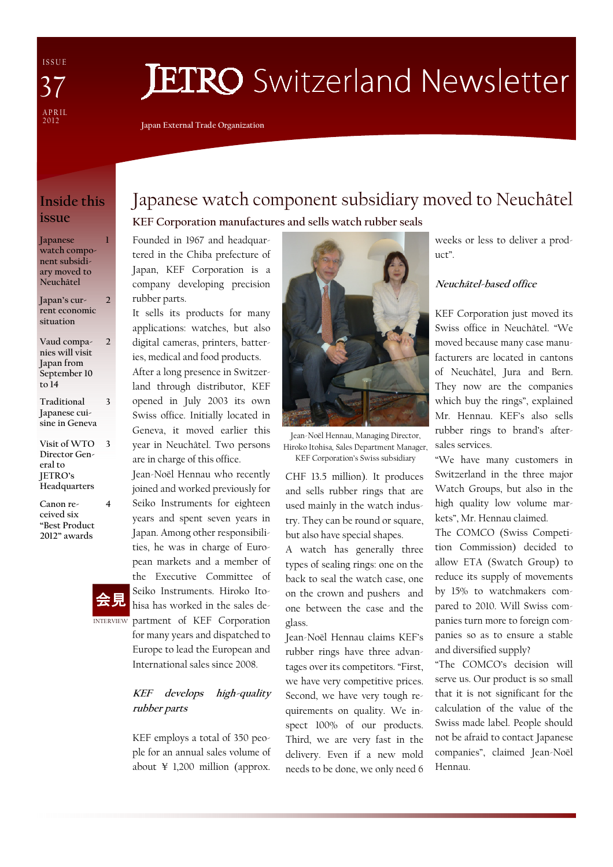I S S U E A P R I L<br>2012 37

# **JETRO** Switzerland Newsletter

Japan External Trade Organization

## Inside this issue

1

2

3

4

Japanese watch component subsidiary moved to Neuchâtel

Japan's current economic situation

- Vaud companies will visit Japan from September 10 to 14  $\overline{\mathcal{L}}$
- Traditional Japanese cuisine in Geneva
- Visit of WTO 3 Director General to JETRO's Headquarters
- Canon received six "Best Product 2012" awards



# Japanese watch component subsidiary moved to Neuchâtel KEF Corporation manufactures and sells watch rubber seals

Founded in 1967 and headquartered in the Chiba prefecture of Japan, KEF Corporation is a company developing precision rubber parts.

It sells its products for many applications: watches, but also digital cameras, printers, batteries, medical and food products. After a long presence in Switzerland through distributor, KEF opened in July 2003 its own Swiss office. Initially located in Geneva, it moved earlier this year in Neuchâtel. Two persons are in charge of this office.

Jean-Noël Hennau who recently joined and worked previously for Seiko Instruments for eighteen years and spent seven years in Japan. Among other responsibilities, he was in charge of European markets and a member of the Executive Committee of Seiko Instruments. Hiroko Itohisa has worked in the sales de-INTERVIEW partment of KEF Corporation for many years and dispatched to Europe to lead the European and International sales since 2008.

### KEF develops high-quality rubber parts

KEF employs a total of 350 people for an annual sales volume of about ¥ 1,200 million (approx.



Jean-Noël Hennau, Managing Director, Hiroko Itohisa, Sales Department Manager, KEF Corporation's Swiss subsidiary

CHF 13.5 million). It produces and sells rubber rings that are used mainly in the watch industry. They can be round or square, but also have special shapes.

A watch has generally three types of sealing rings: one on the back to seal the watch case, one on the crown and pushers and one between the case and the glass.

Jean-Noël Hennau claims KEF's rubber rings have three advantages over its competitors. "First, we have very competitive prices. Second, we have very tough requirements on quality. We inspect 100% of our products. Third, we are very fast in the delivery. Even if a new mold needs to be done, we only need 6 weeks or less to deliver a product".

#### Neuchâtel-based office

KEF Corporation just moved its Swiss office in Neuchâtel. "We moved because many case manufacturers are located in cantons of Neuchâtel, Jura and Bern. They now are the companies which buy the rings", explained Mr. Hennau. KEF's also sells rubber rings to brand's aftersales services.

"We have many customers in Switzerland in the three major Watch Groups, but also in the high quality low volume markets", Mr. Hennau claimed.

The COMCO (Swiss Competition Commission) decided to allow ETA (Swatch Group) to reduce its supply of movements by 15% to watchmakers compared to 2010. Will Swiss companies turn more to foreign companies so as to ensure a stable and diversified supply?

"The COMCO's decision will serve us. Our product is so small that it is not significant for the calculation of the value of the Swiss made label. People should not be afraid to contact Japanese companies", claimed Jean-Noël Hennau.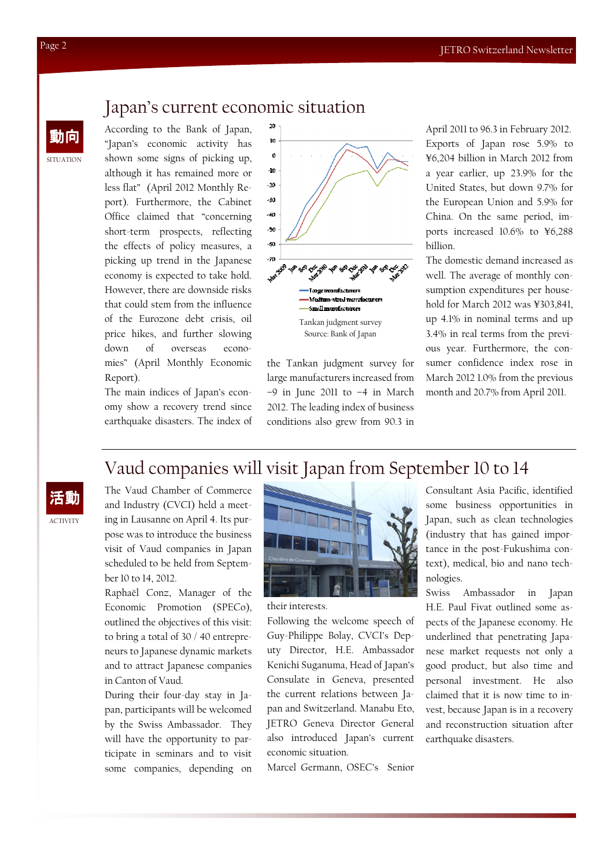## Japan's current economic situation

According to the Bank of Japan, "Japan's economic activity has shown some signs of picking up, although it has remained more or less flat" (April 2012 Monthly Report). Furthermore, the Cabinet Office claimed that "concerning short-term prospects, reflecting the effects of policy measures, a picking up trend in the Japanese economy is expected to take hold. However, there are downside risks that could stem from the influence of the Eurozone debt crisis, oil price hikes, and further slowing down of overseas economies" (April Monthly Economic Report).

The main indices of Japan's economy show a recovery trend since earthquake disasters. The index of



the Tankan judgment survey for large manufacturers increased from  $-9$  in June 2011 to  $-4$  in March 2012. The leading index of business conditions also grew from 90.3 in

April 2011 to 96.3 in February 2012. Exports of Japan rose 5.9% to ¥6,204 billion in March 2012 from a year earlier, up 23.9% for the United States, but down 9.7% for the European Union and 5.9% for China. On the same period, imports increased 10.6% to ¥6,288 billion.

The domestic demand increased as well. The average of monthly consumption expenditures per household for March 2012 was ¥303,841, up 4.1% in nominal terms and up 3.4% in real terms from the previous year. Furthermore, the consumer confidence index rose in March 2012 1.0% from the previous month and 20.7% from April 2011.

# Vaud companies will visit Japan from September 10 to 14

ACTIVITY 活動 The Vaud Chamber of Commerce and Industry (CVCI) held a meeting in Lausanne on April 4. Its purpose was to introduce the business visit of Vaud companies in Japan scheduled to be held from September 10 to 14, 2012.

Raphaël Conz, Manager of the Economic Promotion (SPECo), outlined the objectives of this visit: to bring a total of 30 / 40 entrepreneurs to Japanese dynamic markets and to attract Japanese companies in Canton of Vaud.

During their four-day stay in Japan, participants will be welcomed by the Swiss Ambassador. They will have the opportunity to participate in seminars and to visit some companies, depending on



their interests.

Following the welcome speech of Guy-Philippe Bolay, CVCI's Deputy Director, H.E. Ambassador Kenichi Suganuma, Head of Japan's Consulate in Geneva, presented the current relations between Japan and Switzerland. Manabu Eto, JETRO Geneva Director General also introduced Japan's current economic situation.

Marcel Germann, OSEC's Senior

Consultant Asia Pacific, identified some business opportunities in Japan, such as clean technologies (industry that has gained importance in the post-Fukushima context), medical, bio and nano technologies.

Swiss Ambassador in Japan H.E. Paul Fivat outlined some aspects of the Japanese economy. He underlined that penetrating Japanese market requests not only a good product, but also time and personal investment. He also claimed that it is now time to invest, because Japan is in a recovery and reconstruction situation after earthquake disasters.

SITUATION

動向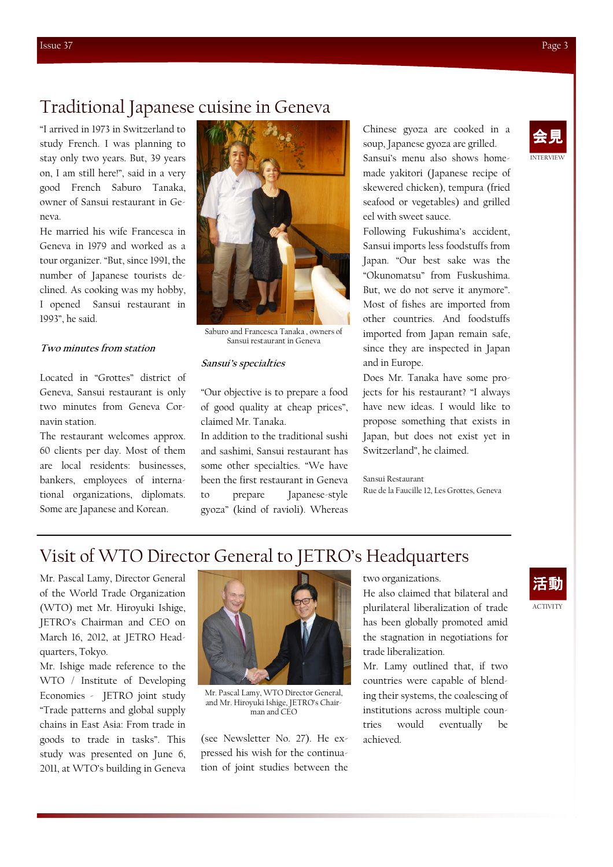INTERVIEW 会見

## Traditional Japanese cuisine in Geneva

"I arrived in 1973 in Switzerland to study French. I was planning to stay only two years. But, 39 years on, I am still here!", said in a very good French Saburo Tanaka, owner of Sansui restaurant in Geneva.

He married his wife Francesca in Geneva in 1979 and worked as a tour organizer. "But, since 1991, the number of Japanese tourists declined. As cooking was my hobby, I opened Sansui restaurant in 1993", he said.

#### Two minutes from station

Located in "Grottes" district of Geneva, Sansui restaurant is only two minutes from Geneva Cornavin station.

The restaurant welcomes approx. 60 clients per day. Most of them are local residents: businesses, bankers, employees of international organizations, diplomats. Some are Japanese and Korean.



Saburo and Francesca Tanaka , owners of Sansui restaurant in Geneva

#### Sansui's specialties

"Our objective is to prepare a food of good quality at cheap prices", claimed Mr. Tanaka.

In addition to the traditional sushi and sashimi, Sansui restaurant has some other specialties. "We have been the first restaurant in Geneva to prepare Japanese-style gyoza" (kind of ravioli). Whereas

Chinese gyoza are cooked in a soup, Japanese gyoza are grilled. Sansui's menu also shows homemade yakitori (Japanese recipe of skewered chicken), tempura (fried seafood or vegetables) and grilled eel with sweet sauce.

Following Fukushima's accident, Sansui imports less foodstuffs from Japan. "Our best sake was the "Okunomatsu" from Fuskushima. But, we do not serve it anymore". Most of fishes are imported from other countries. And foodstuffs imported from Japan remain safe, since they are inspected in Japan and in Europe.

Does Mr. Tanaka have some projects for his restaurant? "I always have new ideas. I would like to propose something that exists in Japan, but does not exist yet in Switzerland", he claimed.

Sansui Restaurant Rue de la Faucille 12, Les Grottes, Geneva

# Visit of WTO Director General to JETRO's Headquarters

Mr. Pascal Lamy, Director General of the World Trade Organization (WTO) met Mr. Hiroyuki Ishige, JETRO's Chairman and CEO on March 16, 2012, at JETRO Headquarters, Tokyo.

Mr. Ishige made reference to the WTO / Institute of Developing Economies - JETRO joint study "Trade patterns and global supply chains in East Asia: From trade in goods to trade in tasks". This study was presented on June 6, 2011, at WTO's building in Geneva



Mr. Pascal Lamy, WTO Director General, and Mr. Hiroyuki Ishige, JETRO's Chairman and CEO

(see Newsletter No. 27). He expressed his wish for the continuation of joint studies between the two organizations.

He also claimed that bilateral and plurilateral liberalization of trade has been globally promoted amid the stagnation in negotiations for trade liberalization.

Mr. Lamy outlined that, if two countries were capable of blending their systems, the coalescing of institutions across multiple countries would eventually be achieved.